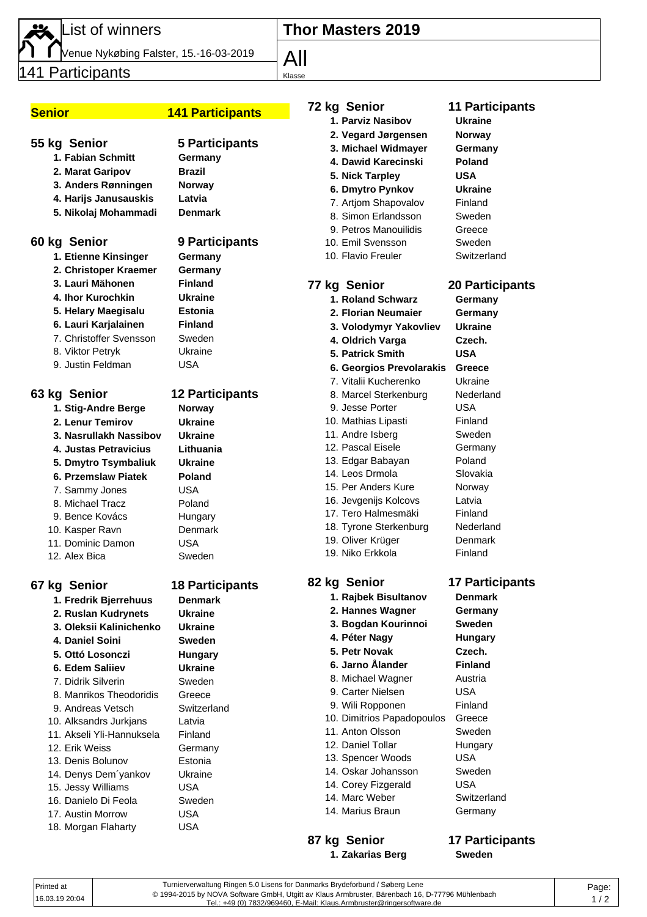List of winners

Venue Nykøbing Falster, 15.-16-03-2019

141 Participants

# **Senior 141 Participants**

### **55 kg Senior 5 Participants**

- **1. Fabian Schmitt Germany 2. Marat Garipov Brazil 3. Anders Rønningen Norway 4. Harijs Janusauskis Latvia**
- **5. Nikolaj Mohammadi Denmark**

### **60 kg Senior 9 Participants**

**1. Etienne Kinsinger Germany 2. Christoper Kraemer Germany 3. Lauri Mähonen Finland 4. Ihor Kurochkin Ukraine**

- **5. Helary Maegisalu Estonia**
- **6. Lauri Karjalainen Finland**
- 7. Christoffer Svensson Sweden
- 8. Viktor Petryk Ukraine
- 9. Justin Feldman USA

| 1. Stig-Andre Berge    | Norway     |
|------------------------|------------|
| 2. Lenur Temirov       | Ukraine    |
| 3. Nasrullakh Nassibov | Ukraine    |
| 4. Justas Petravicius  | Lithuania  |
| 5. Dmytro Tsymbaliuk   | Ukraine    |
| 6. Przemslaw Piatek    | Poland     |
| 7. Sammy Jones         | USA        |
| 8. Michael Tracz       | Poland     |
| 9. Bence Kovács        | Hungary    |
| 10. Kasper Ravn        | Denmark    |
| 11. Dominic Damon      | <b>USA</b> |
| 12. Alex Bica          | Sweden     |

### **67 kg Senior 18 Participants**

**1. Fredrik Bjerrehuus Denmark 2. Ruslan Kudrynets Ukraine 3. Oleksii Kalinichenko Ukraine 4. Daniel Soini Sweden 5. Ottó Losonczi Hungary 6. Edem Saliiev Ukraine** 7. Didrik Silverin Sweden 8. Manrikos Theodoridis Greece 9. Andreas Vetsch Switzerland 10. Alksandrs Jurkjans Latvia 11. Akseli Yli-Hannuksela Finland 12. Erik Weiss Germany 13. Denis Bolunov Estonia 14. Denys Dem´yankov Ukraine 15. Jessy Williams USA 16. Danielo Di Feola Sweden 17. Austin Morrow USA 18. Morgan Flaharty USA

- 
- 

## **63 kg Senior 12 Participants**

| Norway    |
|-----------|
| Ukraine   |
| Ukraine   |
| Lithuania |
| Ukraine   |
| Poland    |
| USA       |
| Poland    |
| Hungary   |
| Denmark   |
| USA       |
| Sweden    |

|  | 14 |
|--|----|
|  | 14 |
|  | 14 |
|  | 14 |
|  |    |
|  |    |

**4. Dawid Karecinski Poland 5. Nick Tarpley USA 6. Dmytro Pynkov Ukraine** 7. Artjom Shapovalov Finland 8. Simon Erlandsson Sweden

**Thor Masters 2019**

9. Petros Manouilidis Greece 10. Emil Svensson Sweden

**72 kg Senior 11 Participants 1. Parviz Nasibov Ukraine 2. Vegard Jørgensen Norway 3. Michael Widmayer Germany**

- 10. Flavio Freuler Switzerland
- 

# **77 kg Senior 20 Participants**

- **1. Roland Schwarz Germany 2. Florian Neumaier Germany 3. Volodymyr Yakovliev Ukraine 4. Oldrich Varga Czech. 5. Patrick Smith USA 6. Georgios Prevolarakis Greece** 7. Vitalii Kucherenko Ukraine 8. Marcel Sterkenburg Nederland 9. Jesse Porter **USA** 10. Mathias Lipasti Finland 11. Andre Isberg Sweden 12. Pascal Eisele **Germany** 13. Edgar Babayan Poland 14. Leos Drmola Slovakia 15. Per Anders Kure Norway 16. Jevgenijs Kolcovs Latvia 17. Tero Halmesmäki Finland 18. Tyrone Sterkenburg Nederland 19. Oliver Krüger Denmark
	-
- 19. Niko Erkkola Finland

# **82 kg Senior 17 Participants**

- **1. Rajbek Bisultanov Denmark 2. Hannes Wagner Germany 3. Bogdan Kourinnoi Sweden 4. Péter Nagy Hungary 5. Petr Novak Czech. 6. Jarno Ålander Finland** 8. Michael Wagner Austria 9. Carter Nielsen USA 9. Wili Ropponen Finland 10. Dimitrios Papadopoulos Greece 11. Anton Olsson Sweden 12. Daniel Tollar Hungary 13. Spencer Woods USA 14. Oskar Johansson Sweden . Corey Fizgerald USA 1. Marc Weber Switzerland
- **87 kg Senior 17 Participants 1. Zakarias Berg Sweden**

- 1. Marius Braun Germany
	-
- Turnierverwaltung Ringen 5.0 Lisens for Danmarks Brydeforbund / Søberg Lene © 1994-2015 by NOVA Software GmbH, Utgitt av Klaus Armbruster, Bärenbach 16, D-77796 Mühlenbach Tel.: +49 (0) 7832/969460, E-Mail: Klaus.Armbruster@ringersoftware.de Printed at 16.03.19 20:04